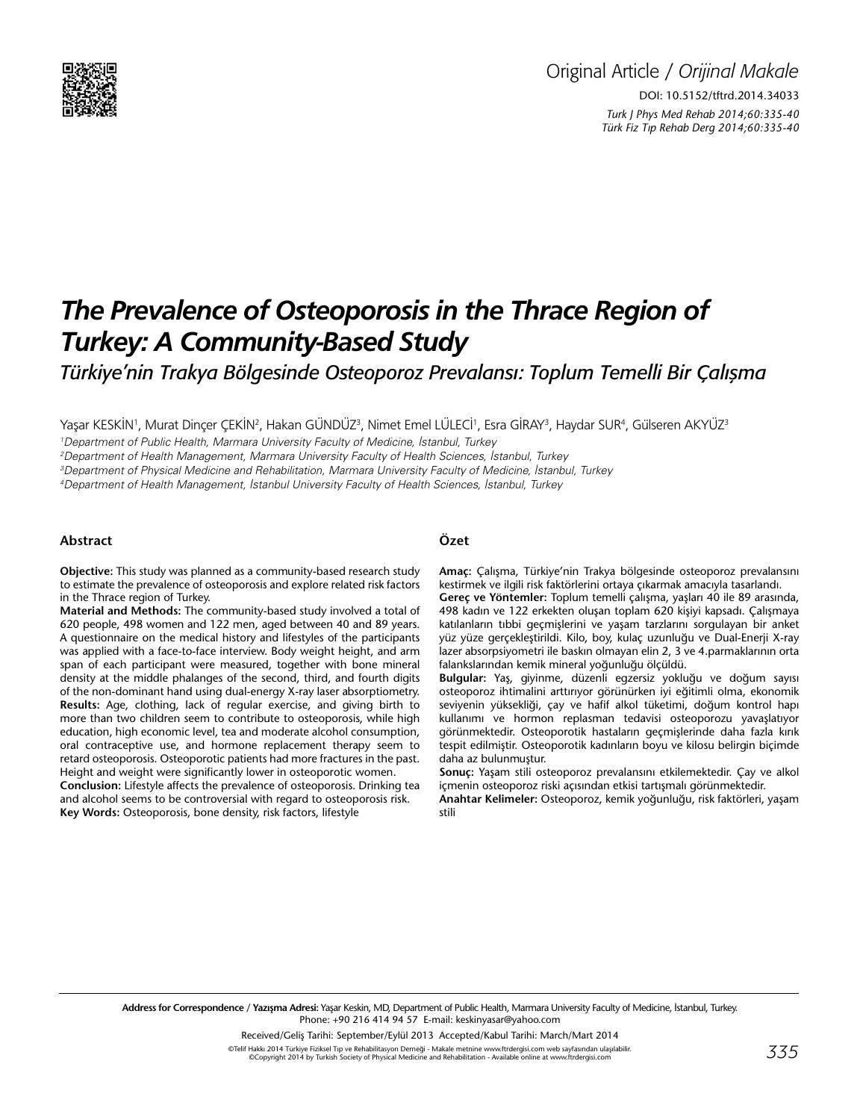

# *The Prevalence of Osteoporosis in the Thrace Region of Turkey: A Community-Based Study*

*Türkiye'nin Trakya Bölgesinde Osteoporoz Prevalansı: Toplum Temelli Bir Çalışma*

Yaşar KESKİN', Murat Dinçer ÇEKİN?, Hakan GÜNDÜZ<sup>3</sup>, Nimet Emel LÜLECİ', Esra GİRAY<sup>3</sup>, Haydar SUR<sup>4</sup>, Gülseren AKYÜZ<sup>3</sup>

1 Department of Public Health, Marmara University Faculty of Medicine, İstanbul, Turkey

2 Department of Health Management, Marmara University Faculty of Health Sciences, İstanbul, Turkey

3 Department of Physical Medicine and Rehabilitation, Marmara University Faculty of Medicine, İstanbul, Turkey

4 Department of Health Management, İstanbul University Faculty of Health Sciences, İstanbul, Turkey

#### **Abstract**

**Objective:** This study was planned as a community-based research study to estimate the prevalence of osteoporosis and explore related risk factors in the Thrace region of Turkey.

**Material and Methods:** The community-based study involved a total of 620 people, 498 women and 122 men, aged between 40 and 89 years. A questionnaire on the medical history and lifestyles of the participants was applied with a face-to-face interview. Body weight height, and arm span of each participant were measured, together with bone mineral density at the middle phalanges of the second, third, and fourth digits of the non-dominant hand using dual-energy X-ray laser absorptiometry. **Results:** Age, clothing, lack of regular exercise, and giving birth to more than two children seem to contribute to osteoporosis, while high education, high economic level, tea and moderate alcohol consumption, oral contraceptive use, and hormone replacement therapy seem to retard osteoporosis. Osteoporotic patients had more fractures in the past. Height and weight were significantly lower in osteoporotic women. **Conclusion:** Lifestyle affects the prevalence of osteoporosis. Drinking tea and alcohol seems to be controversial with regard to osteoporosis risk. **Key Words:** Osteoporosis, bone density, risk factors, lifestyle

#### **Özet**

**Amaç:** Çalışma, Türkiye'nin Trakya bölgesinde osteoporoz prevalansını kestirmek ve ilgili risk faktörlerini ortaya çıkarmak amacıyla tasarlandı.

**Gereç ve Yöntemler:** Toplum temelli çalışma, yaşları 40 ile 89 arasında, 498 kadın ve 122 erkekten oluşan toplam 620 kişiyi kapsadı. Çalışmaya katılanların tıbbi geçmişlerini ve yaşam tarzlarını sorgulayan bir anket yüz yüze gerçekleştirildi. Kilo, boy, kulaç uzunluğu ve Dual-Enerji X-ray lazer absorpsiyometri ile baskın olmayan elin 2, 3 ve 4.parmaklarının orta falankslarından kemik mineral yoğunluğu ölçüldü.

**Bulgular:** Yaş, giyinme, düzenli egzersiz yokluğu ve doğum sayısı osteoporoz ihtimalini arttırıyor görünürken iyi eğitimli olma, ekonomik seviyenin yüksekliği, çay ve hafif alkol tüketimi, doğum kontrol hapı kullanımı ve hormon replasman tedavisi osteoporozu yavaşlatıyor görünmektedir. Osteoporotik hastaların geçmişlerinde daha fazla kırık tespit edilmiştir. Osteoporotik kadınların boyu ve kilosu belirgin biçimde daha az bulunmuştur.

**Sonuç:** Yaşam stili osteoporoz prevalansını etkilemektedir. Çay ve alkol içmenin osteoporoz riski açısından etkisi tartışmalı görünmektedir.

**Anahtar Kelimeler:** Osteoporoz, kemik yoğunluğu, risk faktörleri, yaşam stili

**Address for Correspondence / Yazışma Adresi:** Yaşar Keskin, MD, Department of Public Health, Marmara University Faculty of Medicine, İstanbul, Turkey. Phone: +90 216 414 94 57 E-mail: keskinyasar@yahoo.com

Received/Geliş Tarihi: September/Eylül 2013 Accepted/Kabul Tarihi: March/Mart 2014

©Telif Hakkı 2014 Türkiye Fiziksel Tıp ve Rehabilitasyon Derneği - Makale metnine www.ftrdergisi.com web sayfasından ulaşılabilir. ©Copyright 2014 by Turkish Society of Physical Medicine and Rehabilitation - Available onl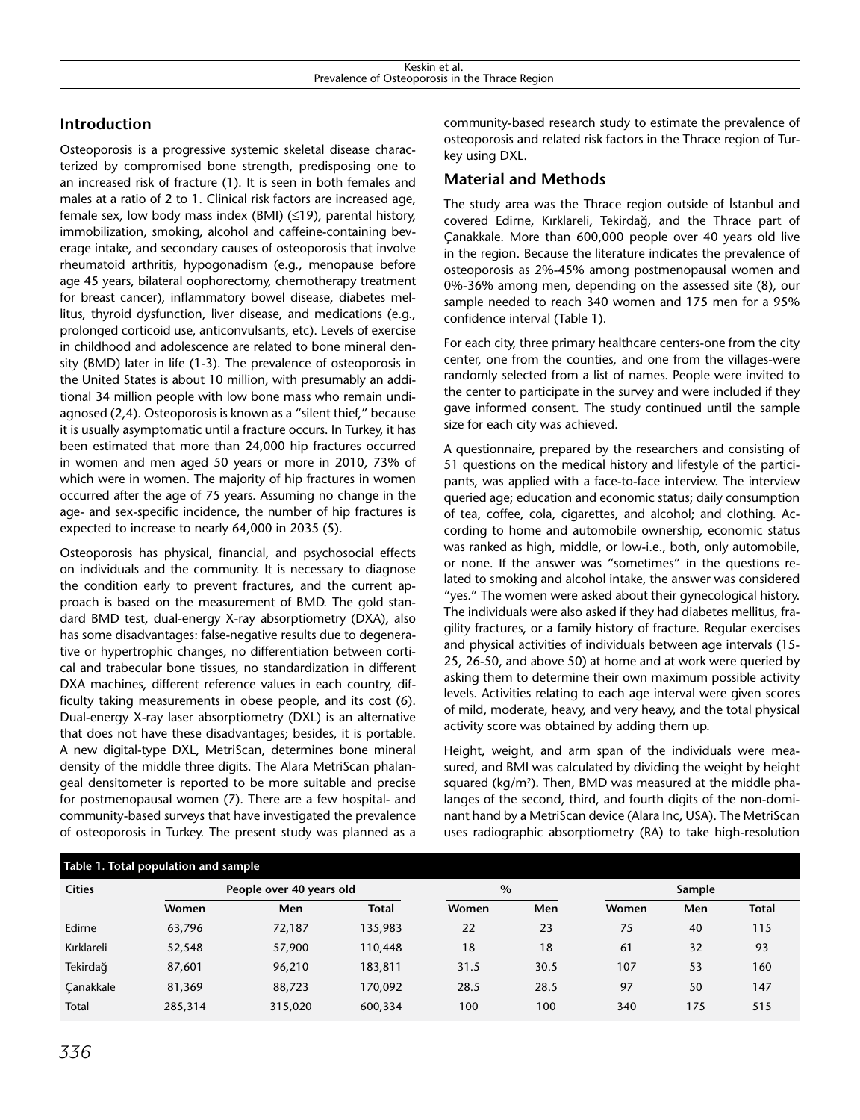# **Introduction**

Osteoporosis is a progressive systemic skeletal disease characterized by compromised bone strength, predisposing one to an increased risk of fracture (1). It is seen in both females and males at a ratio of 2 to 1. Clinical risk factors are increased age, female sex, low body mass index (BMI) (≤19), parental history, immobilization, smoking, alcohol and caffeine-containing beverage intake, and secondary causes of osteoporosis that involve rheumatoid arthritis, hypogonadism (e.g., menopause before age 45 years, bilateral oophorectomy, chemotherapy treatment for breast cancer), inflammatory bowel disease, diabetes mellitus, thyroid dysfunction, liver disease, and medications (e.g., prolonged corticoid use, anticonvulsants, etc). Levels of exercise in childhood and adolescence are related to bone mineral density (BMD) later in life (1-3). The prevalence of osteoporosis in the United States is about 10 million, with presumably an additional 34 million people with low bone mass who remain undiagnosed (2,4). Osteoporosis is known as a "silent thief," because it is usually asymptomatic until a fracture occurs. In Turkey, it has been estimated that more than 24,000 hip fractures occurred in women and men aged 50 years or more in 2010, 73% of which were in women. The majority of hip fractures in women occurred after the age of 75 years. Assuming no change in the age- and sex-specific incidence, the number of hip fractures is expected to increase to nearly 64,000 in 2035 (5).

Osteoporosis has physical, financial, and psychosocial effects on individuals and the community. It is necessary to diagnose the condition early to prevent fractures, and the current approach is based on the measurement of BMD. The gold standard BMD test, dual-energy X-ray absorptiometry (DXA), also has some disadvantages: false-negative results due to degenerative or hypertrophic changes, no differentiation between cortical and trabecular bone tissues, no standardization in different DXA machines, different reference values in each country, difficulty taking measurements in obese people, and its cost (6). Dual-energy X-ray laser absorptiometry (DXL) is an alternative that does not have these disadvantages; besides, it is portable. A new digital-type DXL, MetriScan, determines bone mineral density of the middle three digits. The Alara MetriScan phalangeal densitometer is reported to be more suitable and precise for postmenopausal women (7). There are a few hospital- and community-based surveys that have investigated the prevalence of osteoporosis in Turkey. The present study was planned as a

community-based research study to estimate the prevalence of osteoporosis and related risk factors in the Thrace region of Turkey using DXL.

## **Material and Methods**

The study area was the Thrace region outside of İstanbul and covered Edirne, Kırklareli, Tekirdağ, and the Thrace part of Çanakkale. More than 600,000 people over 40 years old live in the region. Because the literature indicates the prevalence of osteoporosis as 2%-45% among postmenopausal women and 0%-36% among men, depending on the assessed site (8), our sample needed to reach 340 women and 175 men for a 95% confidence interval (Table 1).

For each city, three primary healthcare centers-one from the city center, one from the counties, and one from the villages-were randomly selected from a list of names. People were invited to the center to participate in the survey and were included if they gave informed consent. The study continued until the sample size for each city was achieved.

A questionnaire, prepared by the researchers and consisting of 51 questions on the medical history and lifestyle of the participants, was applied with a face-to-face interview. The interview queried age; education and economic status; daily consumption of tea, coffee, cola, cigarettes, and alcohol; and clothing. According to home and automobile ownership, economic status was ranked as high, middle, or low-i.e., both, only automobile, or none. If the answer was "sometimes" in the questions related to smoking and alcohol intake, the answer was considered "yes." The women were asked about their gynecological history. The individuals were also asked if they had diabetes mellitus, fragility fractures, or a family history of fracture. Regular exercises and physical activities of individuals between age intervals (15- 25, 26-50, and above 50) at home and at work were queried by asking them to determine their own maximum possible activity levels. Activities relating to each age interval were given scores of mild, moderate, heavy, and very heavy, and the total physical activity score was obtained by adding them up.

Height, weight, and arm span of the individuals were measured, and BMI was calculated by dividing the weight by height squared ( $\text{kg/m}^2$ ). Then, BMD was measured at the middle phalanges of the second, third, and fourth digits of the non-dominant hand by a MetriScan device (Alara Inc, USA). The MetriScan uses radiographic absorptiometry (RA) to take high-resolution

| Table 1. Total population and sample |         |                          |              |       |      |        |     |              |
|--------------------------------------|---------|--------------------------|--------------|-------|------|--------|-----|--------------|
| <b>Cities</b>                        |         | People over 40 years old |              | $\%$  |      | Sample |     |              |
|                                      | Women   | Men                      | <b>Total</b> | Women | Men  | Women  | Men | <b>Total</b> |
| Edirne                               | 63,796  | 72,187                   | 135,983      | 22    | 23   | 75     | 40  | 115          |
| Kırklareli                           | 52,548  | 57,900                   | 110,448      | 18    | 18   | 61     | 32  | 93           |
| Tekirdağ                             | 87,601  | 96,210                   | 183,811      | 31.5  | 30.5 | 107    | 53  | 160          |
| Canakkale                            | 81,369  | 88,723                   | 170.092      | 28.5  | 28.5 | 97     | 50  | 147          |
| Total                                | 285,314 | 315,020                  | 600,334      | 100   | 100  | 340    | 175 | 515          |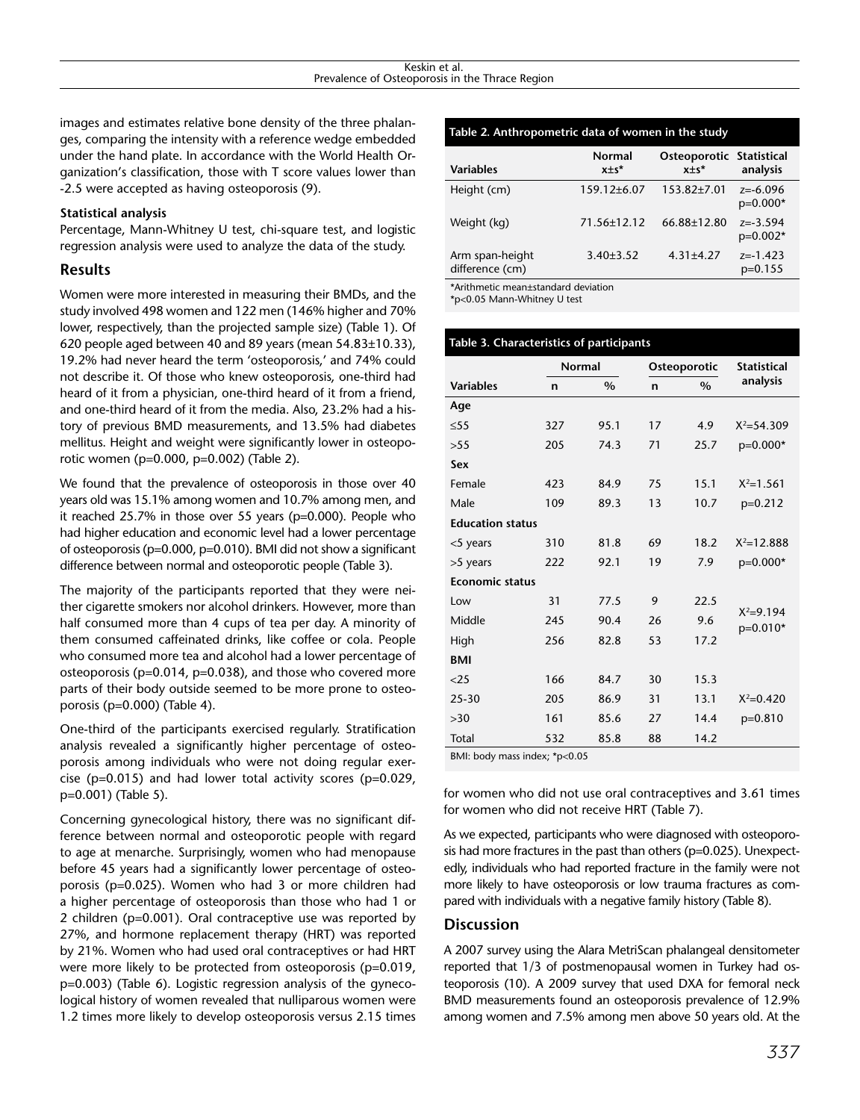images and estimates relative bone density of the three phalanges, comparing the intensity with a reference wedge embedded under the hand plate. In accordance with the World Health Organization's classification, those with T score values lower than -2.5 were accepted as having osteoporosis (9).

#### **Statistical analysis**

Percentage, Mann-Whitney U test, chi-square test, and logistic regression analysis were used to analyze the data of the study.

## **Results**

Women were more interested in measuring their BMDs, and the study involved 498 women and 122 men (146% higher and 70% lower, respectively, than the projected sample size) (Table 1). Of 620 people aged between 40 and 89 years (mean 54.83±10.33), 19.2% had never heard the term 'osteoporosis,' and 74% could not describe it. Of those who knew osteoporosis, one-third had heard of it from a physician, one-third heard of it from a friend, and one-third heard of it from the media. Also, 23.2% had a history of previous BMD measurements, and 13.5% had diabetes mellitus. Height and weight were significantly lower in osteoporotic women (p=0.000, p=0.002) (Table 2).

We found that the prevalence of osteoporosis in those over 40 years old was 15.1% among women and 10.7% among men, and it reached 25.7% in those over 55 years (p=0.000). People who had higher education and economic level had a lower percentage of osteoporosis (p=0.000, p=0.010). BMI did not show a significant difference between normal and osteoporotic people (Table 3).

The majority of the participants reported that they were neither cigarette smokers nor alcohol drinkers. However, more than half consumed more than 4 cups of tea per day. A minority of them consumed caffeinated drinks, like coffee or cola. People who consumed more tea and alcohol had a lower percentage of osteoporosis (p=0.014, p=0.038), and those who covered more parts of their body outside seemed to be more prone to osteoporosis (p=0.000) (Table 4).

One-third of the participants exercised regularly. Stratification analysis revealed a significantly higher percentage of osteoporosis among individuals who were not doing regular exercise (p=0.015) and had lower total activity scores (p=0.029, p=0.001) (Table 5).

Concerning gynecological history, there was no significant difference between normal and osteoporotic people with regard to age at menarche. Surprisingly, women who had menopause before 45 years had a significantly lower percentage of osteoporosis (p=0.025). Women who had 3 or more children had a higher percentage of osteoporosis than those who had 1 or 2 children (p=0.001). Oral contraceptive use was reported by 27%, and hormone replacement therapy (HRT) was reported by 21%. Women who had used oral contraceptives or had HRT were more likely to be protected from osteoporosis (p=0.019, p=0.003) (Table 6). Logistic regression analysis of the gynecological history of women revealed that nulliparous women were 1.2 times more likely to develop osteoporosis versus 2.15 times

| Table 2. Anthropometric data of women in the study |                              |                                         |                            |  |  |  |  |
|----------------------------------------------------|------------------------------|-----------------------------------------|----------------------------|--|--|--|--|
| <b>Variables</b>                                   | <b>Normal</b><br>$x \pm s^*$ | Osteoporotic Statistical<br>$x \pm s^*$ | analysis                   |  |  |  |  |
| Height (cm)                                        | 159.12±6.07                  | $153.82{\pm}7.01$                       | $z = -6.096$<br>$p=0.000*$ |  |  |  |  |
| Weight (kg)                                        | 71.56±12.12                  | 66.88±12.80                             | $z = -3.594$<br>$p=0.002*$ |  |  |  |  |
| Arm span-height<br>difference (cm)                 | $3.40 \pm 3.52$              | $4.31 \pm 4.27$                         | $z = -1.423$<br>$p=0.155$  |  |  |  |  |

\*Arithmetic mean±standard deviation

\*p<0.05 Mann-Whitney U test

| Table 3. Characteristics of participants |               |      |    |              |                           |  |  |
|------------------------------------------|---------------|------|----|--------------|---------------------------|--|--|
|                                          | <b>Normal</b> |      |    | Osteoporotic | <b>Statistical</b>        |  |  |
| <b>Variables</b>                         | n             | $\%$ | n  | $\%$         | analysis                  |  |  |
| Age                                      |               |      |    |              |                           |  |  |
| $\leq$ 55                                | 327           | 95.1 | 17 | 4.9          | $X^2 = 54.309$            |  |  |
| >55                                      | 205           | 74.3 | 71 | 25.7         | $p=0.000*$                |  |  |
| Sex                                      |               |      |    |              |                           |  |  |
| Female                                   | 423           | 84.9 | 75 | 15.1         | $X^2 = 1.561$             |  |  |
| Male                                     | 109           | 89.3 | 13 | 10.7         | $p=0.212$                 |  |  |
| <b>Education status</b>                  |               |      |    |              |                           |  |  |
| <5 years                                 | 310           | 81.8 | 69 | 18.2         | $X^2 = 12.888$            |  |  |
| >5 years                                 | 222           | 92.1 | 19 | 7.9          | $p=0.000*$                |  |  |
| <b>Economic status</b>                   |               |      |    |              |                           |  |  |
| Low                                      | 31            | 77.5 | 9  | 22.5         |                           |  |  |
| Middle                                   | 245           | 90.4 | 26 | 9.6          | $X^2 = 9.194$<br>p=0.010* |  |  |
| High                                     | 256           | 82.8 | 53 | 17.2         |                           |  |  |
| <b>BMI</b>                               |               |      |    |              |                           |  |  |
| $<$ 25                                   | 166           | 84.7 | 30 | 15.3         |                           |  |  |
| $25 - 30$                                | 205           | 86.9 | 31 | 13.1         | $X^2 = 0.420$             |  |  |
| >30                                      | 161           | 85.6 | 27 | 14.4         | $p=0.810$                 |  |  |
| Total                                    | 532           | 85.8 | 88 | 14.2         |                           |  |  |

BMI: body mass index; \*p<0.05

for women who did not use oral contraceptives and 3.61 times for women who did not receive HRT (Table 7).

As we expected, participants who were diagnosed with osteoporosis had more fractures in the past than others (p=0.025). Unexpectedly, individuals who had reported fracture in the family were not more likely to have osteoporosis or low trauma fractures as compared with individuals with a negative family history (Table 8).

## **Discussion**

A 2007 survey using the Alara MetriScan phalangeal densitometer reported that 1/3 of postmenopausal women in Turkey had osteoporosis (10). A 2009 survey that used DXA for femoral neck BMD measurements found an osteoporosis prevalence of 12.9% among women and 7.5% among men above 50 years old. At the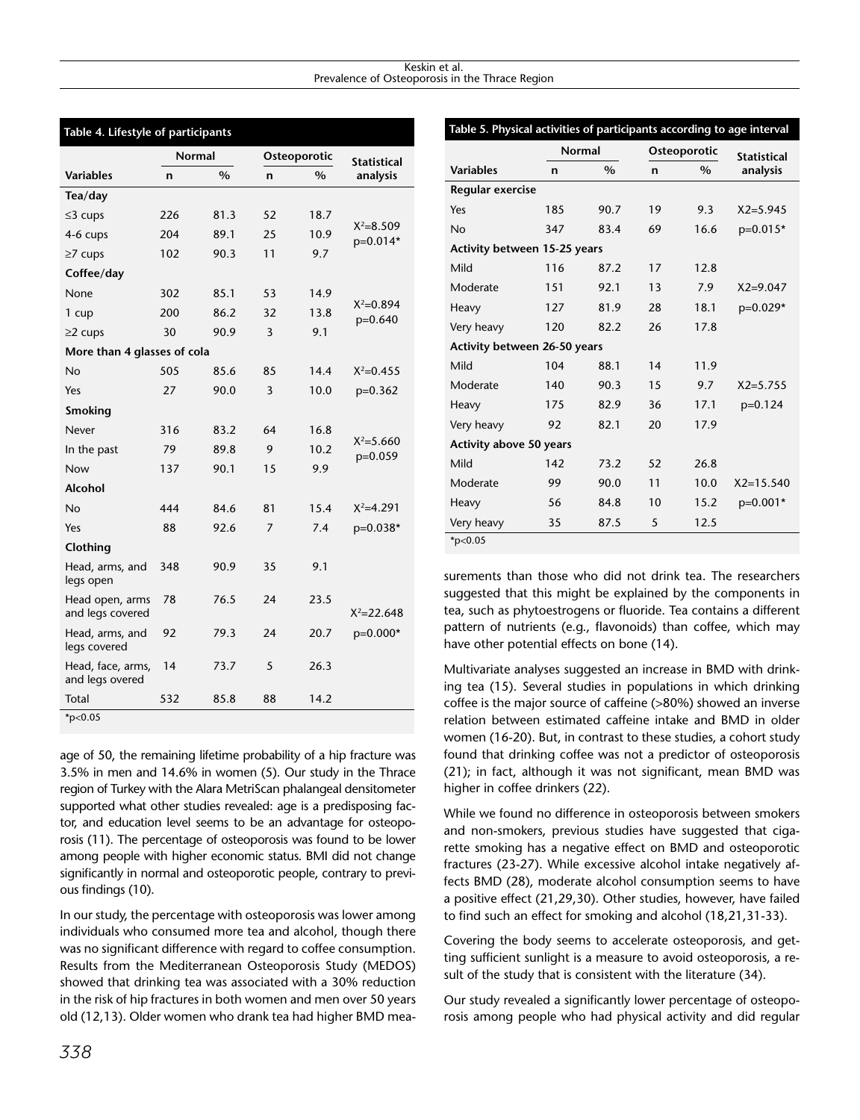#### Keskin et al. Prevalence of Osteoporosis in the Thrace Region

| Table 4. Lifestyle of participants   |               |      |              |      |                            |  |  |  |
|--------------------------------------|---------------|------|--------------|------|----------------------------|--|--|--|
|                                      | <b>Normal</b> |      | Osteoporotic |      | <b>Statistical</b>         |  |  |  |
| <b>Variables</b>                     | n             | $\%$ | $\mathsf{n}$ | $\%$ | analysis                   |  |  |  |
| Tea/day                              |               |      |              |      |                            |  |  |  |
| $\leq$ 3 cups                        | 226           | 81.3 | 52           | 18.7 |                            |  |  |  |
| 4-6 cups                             | 204           | 89.1 | 25           | 10.9 | $X^2 = 8.509$<br>p=0.014*  |  |  |  |
| $\geq$ 7 cups                        | 102           | 90.3 | 11           | 9.7  |                            |  |  |  |
| Coffee/day                           |               |      |              |      |                            |  |  |  |
| None                                 | 302           | 85.1 | 53           | 14.9 |                            |  |  |  |
| 1 cup                                | 200           | 86.2 | 32           | 13.8 | $X^2 = 0.894$<br>$p=0.640$ |  |  |  |
| $\geq$ 2 cups                        | 30            | 90.9 | 3            | 9.1  |                            |  |  |  |
| More than 4 glasses of cola          |               |      |              |      |                            |  |  |  |
| <b>No</b>                            | 505           | 85.6 | 85           | 14.4 | $X^2 = 0.455$              |  |  |  |
| Yes                                  | 27            | 90.0 | 3            | 10.0 | $p=0.362$                  |  |  |  |
| <b>Smoking</b>                       |               |      |              |      |                            |  |  |  |
| Never                                | 316           | 83.2 | 64           | 16.8 |                            |  |  |  |
| In the past                          | 79            | 89.8 | 9            | 10.2 | $X^2 = 5.660$<br>$p=0.059$ |  |  |  |
| Now                                  | 137           | 90.1 | 15           | 9.9  |                            |  |  |  |
| <b>Alcohol</b>                       |               |      |              |      |                            |  |  |  |
| No                                   | 444           | 84.6 | 81           | 15.4 | $X^2 = 4.291$              |  |  |  |
| Yes                                  | 88            | 92.6 | 7            | 7.4  | p=0.038*                   |  |  |  |
| Clothing                             |               |      |              |      |                            |  |  |  |
| Head, arms, and<br>legs open         | 348           | 90.9 | 35           | 9.1  |                            |  |  |  |
| Head open, arms<br>and legs covered  | 78            | 76.5 | 24           | 23.5 | $X^2 = 22.648$             |  |  |  |
| Head, arms, and<br>legs covered      | 92            | 79.3 | 24           | 20.7 | p=0.000*                   |  |  |  |
| Head, face, arms,<br>and legs overed | 14            | 73.7 | 5            | 26.3 |                            |  |  |  |
| Total                                | 532           | 85.8 | 88           | 14.2 |                            |  |  |  |
| $*_{p<0.05}$                         |               |      |              |      |                            |  |  |  |

age of 50, the remaining lifetime probability of a hip fracture was 3.5% in men and 14.6% in women (5). Our study in the Thrace region of Turkey with the Alara MetriScan phalangeal densitometer supported what other studies revealed: age is a predisposing factor, and education level seems to be an advantage for osteoporosis (11). The percentage of osteoporosis was found to be lower among people with higher economic status. BMI did not change significantly in normal and osteoporotic people, contrary to previous findings (10).

In our study, the percentage with osteoporosis was lower among individuals who consumed more tea and alcohol, though there was no significant difference with regard to coffee consumption. Results from the Mediterranean Osteoporosis Study (MEDOS) showed that drinking tea was associated with a 30% reduction in the risk of hip fractures in both women and men over 50 years old (12,13). Older women who drank tea had higher BMD mea-

| Table 5. Physical activities of participants according to age interval |                                              |      |              |               |                    |  |  |
|------------------------------------------------------------------------|----------------------------------------------|------|--------------|---------------|--------------------|--|--|
|                                                                        | <b>Normal</b>                                |      | Osteoporotic |               | <b>Statistical</b> |  |  |
| <b>Variables</b>                                                       | $\frac{0}{0}$<br>$\mathsf{n}$<br>$\mathbf n$ |      |              | $\frac{0}{0}$ | analysis           |  |  |
| <b>Regular exercise</b>                                                |                                              |      |              |               |                    |  |  |
| Yes                                                                    | 185                                          | 90.7 | 19           | 9.3           | $X2 = 5.945$       |  |  |
| <b>No</b>                                                              | 347                                          | 83.4 | 69           | 16.6          | $p=0.015*$         |  |  |
| Activity between 15-25 years                                           |                                              |      |              |               |                    |  |  |
| Mild                                                                   | 116                                          | 87.2 | 17           | 12.8          |                    |  |  |
| Moderate                                                               | 151                                          | 92.1 | 13           | 7.9           | $X2 = 9.047$       |  |  |
| Heavy                                                                  | 127                                          | 81.9 | 28           | 18.1          | p=0.029*           |  |  |
| Very heavy                                                             | 120                                          | 82.2 | 26           | 17.8          |                    |  |  |
| Activity between 26-50 years                                           |                                              |      |              |               |                    |  |  |
| Mild                                                                   | 104                                          | 88.1 | 14           | 11.9          |                    |  |  |
| Moderate                                                               | 140                                          | 90.3 | 15           | 9.7           | $X2 = 5.755$       |  |  |
| Heavy                                                                  | 175                                          | 82.9 | 36           | 17.1          | $p=0.124$          |  |  |
| Very heavy                                                             | 92                                           | 82.1 | 20           | 17.9          |                    |  |  |
| Activity above 50 years                                                |                                              |      |              |               |                    |  |  |
| Mild                                                                   | 142                                          | 73.2 | 52           | 26.8          |                    |  |  |
| Moderate                                                               | 99                                           | 90.0 | 11           | 10.0          | $X2 = 15.540$      |  |  |
| Heavy                                                                  | 56                                           | 84.8 | 10           | 15.2          | p=0.001*           |  |  |
| Very heavy                                                             | 35                                           | 87.5 | 5            | 12.5          |                    |  |  |
| $*_{p<0.05}$                                                           |                                              |      |              |               |                    |  |  |

surements than those who did not drink tea. The researchers suggested that this might be explained by the components in tea, such as phytoestrogens or fluoride. Tea contains a different pattern of nutrients (e.g., flavonoids) than coffee, which may have other potential effects on bone (14).

Multivariate analyses suggested an increase in BMD with drinking tea (15). Several studies in populations in which drinking coffee is the major source of caffeine (>80%) showed an inverse relation between estimated caffeine intake and BMD in older women (16-20). But, in contrast to these studies, a cohort study found that drinking coffee was not a predictor of osteoporosis (21); in fact, although it was not significant, mean BMD was higher in coffee drinkers (22).

While we found no difference in osteoporosis between smokers and non-smokers, previous studies have suggested that cigarette smoking has a negative effect on BMD and osteoporotic fractures (23-27). While excessive alcohol intake negatively affects BMD (28), moderate alcohol consumption seems to have a positive effect (21,29,30). Other studies, however, have failed to find such an effect for smoking and alcohol (18,21,31-33).

Covering the body seems to accelerate osteoporosis, and getting sufficient sunlight is a measure to avoid osteoporosis, a result of the study that is consistent with the literature (34).

Our study revealed a significantly lower percentage of osteoporosis among people who had physical activity and did regular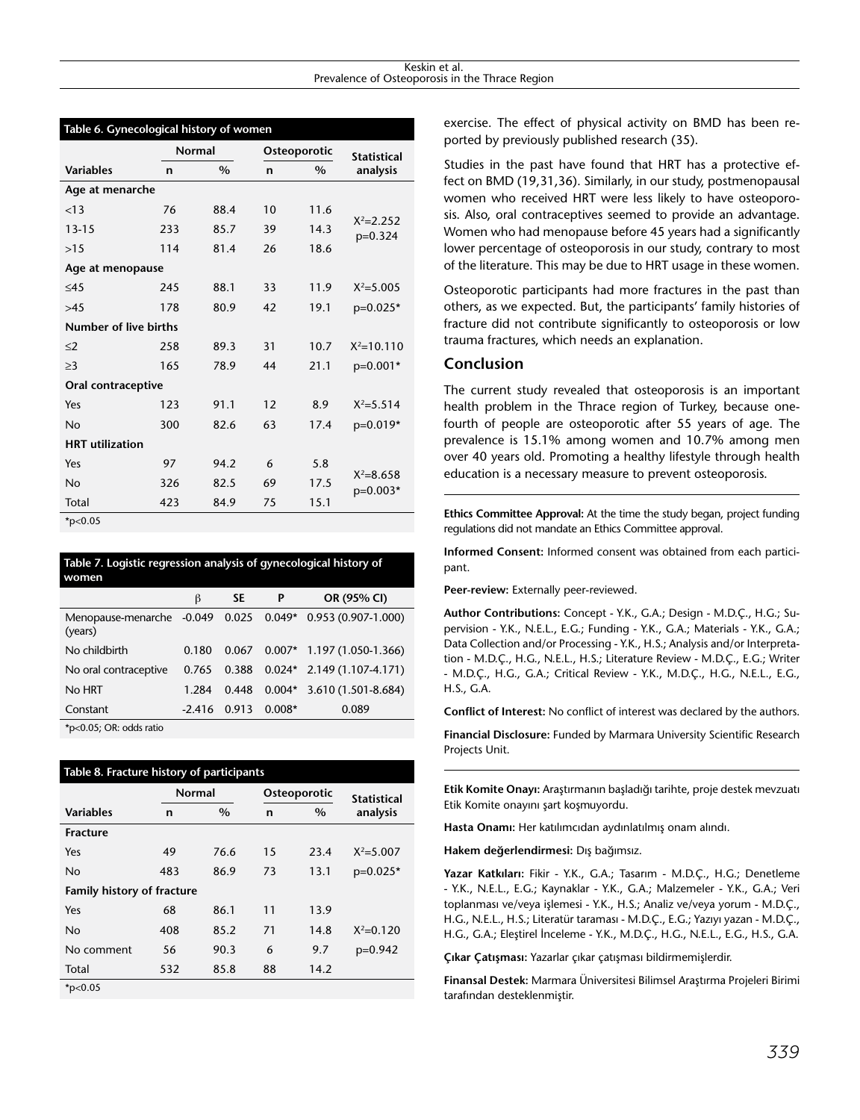|                        | <b>Normal</b> |               | Osteoporotic |               | <b>Statistical</b>          |  |
|------------------------|---------------|---------------|--------------|---------------|-----------------------------|--|
| <b>Variables</b>       | n             | $\frac{0}{0}$ | $\mathbf n$  | $\frac{0}{0}$ | analysis                    |  |
| Age at menarche        |               |               |              |               |                             |  |
| < 13                   | 76            | 88.4          | 10           | 11.6          |                             |  |
| $13 - 15$              | 233           | 85.7          | 39           | 14.3          | $X^2 = 2.252$<br>$p=0.324$  |  |
| >15                    | 114           | 81.4          | 26           | 18.6          |                             |  |
| Age at menopause       |               |               |              |               |                             |  |
| $\leq$ 45              | 245           | 88.1          | 33           | 11.9          | $X^2 = 5.005$               |  |
| >45                    | 178           | 80.9          | 42           | 19.1          | $p=0.025*$                  |  |
| Number of live births  |               |               |              |               |                             |  |
| $\leq$ 2               | 258           | 89.3          | 31           | 10.7          | $X^2 = 10.110$              |  |
| $\geq$ 3               | 165           | 78.9          | 44           | 21.1          | p=0.001*                    |  |
| Oral contraceptive     |               |               |              |               |                             |  |
| Yes                    | 123           | 91.1          | 12           | 8.9           | $X^2 = 5.514$               |  |
| <b>No</b>              | 300           | 82.6          | 63           | 17.4          | p=0.019*                    |  |
| <b>HRT</b> utilization |               |               |              |               |                             |  |
| Yes                    | 97            | 94.2          | 6            | 5.8           |                             |  |
| <b>No</b>              | 326           | 82.5          | 69           | 17.5          | $X^2 = 8.658$<br>$p=0.003*$ |  |
| Total                  | 423           | 84.9          | 75           | 15.1          |                             |  |

**Table 6. Gynecological history of women**

\*p<0.05

| Table 7. Logistic regression analysis of gynecological history of<br>women                                                                                                                                                                                                                                                                  |       |       |                       |                              |  |  |  |
|---------------------------------------------------------------------------------------------------------------------------------------------------------------------------------------------------------------------------------------------------------------------------------------------------------------------------------------------|-------|-------|-----------------------|------------------------------|--|--|--|
|                                                                                                                                                                                                                                                                                                                                             | β     | SE.   | P                     | OR (95% CI)                  |  |  |  |
| Menopause-menarche -0.049 0.025 0.049*<br>(years)                                                                                                                                                                                                                                                                                           |       |       |                       | $0.953(0.907-1.000)$         |  |  |  |
| No childbirth                                                                                                                                                                                                                                                                                                                               | 0.180 | 0.067 |                       | $0.007*$ 1.197 (1.050-1.366) |  |  |  |
| No oral contraceptive                                                                                                                                                                                                                                                                                                                       | 0.765 | 0.388 |                       | $0.024*$ 2.149 (1.107-4.171) |  |  |  |
| No HRT                                                                                                                                                                                                                                                                                                                                      | 1.284 | 0.448 |                       | $0.004*$ 3.610 (1.501-8.684) |  |  |  |
| Constant                                                                                                                                                                                                                                                                                                                                    |       |       | $-2.416$ 0.913 0.008* | 0.089                        |  |  |  |
| $*_{n}$ $\wedge$ $\wedge$ $\wedge$ $\wedge$ $\wedge$ $\wedge$ $\wedge$ $\wedge$ $\wedge$ $\wedge$ $\wedge$ $\wedge$ $\wedge$ $\wedge$ $\wedge$ $\wedge$ $\wedge$ $\wedge$ $\wedge$ $\wedge$ $\wedge$ $\wedge$ $\wedge$ $\wedge$ $\wedge$ $\wedge$ $\wedge$ $\wedge$ $\wedge$ $\wedge$ $\wedge$ $\wedge$ $\wedge$ $\wedge$ $\wedge$ $\wedge$ |       |       |                       |                              |  |  |  |

5; OR: odds ratic

| Table 8. Fracture history of participants |               |      |              |      |               |  |  |
|-------------------------------------------|---------------|------|--------------|------|---------------|--|--|
|                                           | <b>Normal</b> |      | Osteoporotic |      | Statistical   |  |  |
| <b>Variables</b>                          | n             | $\%$ | n            | $\%$ | analysis      |  |  |
| <b>Fracture</b>                           |               |      |              |      |               |  |  |
| Yes                                       | 49            | 76.6 | 15           | 23.4 | $X^2 = 5.007$ |  |  |
| No                                        | 483           | 86.9 | 73           | 13.1 | $p=0.025*$    |  |  |
| <b>Family history of fracture</b>         |               |      |              |      |               |  |  |
| Yes                                       | 68            | 86.1 | 11           | 13.9 |               |  |  |
| No                                        | 408           | 85.2 | 71           | 14.8 | $X^2 = 0.120$ |  |  |
| No comment                                | 56            | 90.3 | 6            | 9.7  | $p=0.942$     |  |  |
| Total                                     | 532           | 85.8 | 88           | 14.2 |               |  |  |
| $*_{p<0.05}$                              |               |      |              |      |               |  |  |

exercise. The effect of physical activity on BMD has been reported by previously published research (35).

Studies in the past have found that HRT has a protective effect on BMD (19,31,36). Similarly, in our study, postmenopausal women who received HRT were less likely to have osteoporosis. Also, oral contraceptives seemed to provide an advantage. Women who had menopause before 45 years had a significantly lower percentage of osteoporosis in our study, contrary to most of the literature. This may be due to HRT usage in these women.

Osteoporotic participants had more fractures in the past than others, as we expected. But, the participants' family histories of fracture did not contribute significantly to osteoporosis or low trauma fractures, which needs an explanation.

## **Conclusion**

The current study revealed that osteoporosis is an important health problem in the Thrace region of Turkey, because onefourth of people are osteoporotic after 55 years of age. The prevalence is 15.1% among women and 10.7% among men over 40 years old. Promoting a healthy lifestyle through health education is a necessary measure to prevent osteoporosis.

**Ethics Committee Approval:** At the time the study began, project funding regulations did not mandate an Ethics Committee approval.

**Informed Consent:** Informed consent was obtained from each participant.

**Peer-review:** Externally peer-reviewed.

**Author Contributions:** Concept - Y.K., G.A.; Design - M.D.Ç., H.G.; Supervision - Y.K., N.E.L., E.G.; Funding - Y.K., G.A.; Materials - Y.K., G.A.; Data Collection and/or Processing - Y.K., H.S.; Analysis and/or Interpretation - M.D.Ç., H.G., N.E.L., H.S.; Literature Review - M.D.Ç., E.G.; Writer - M.D.Ç., H.G., G.A.; Critical Review - Y.K., M.D.Ç., H.G., N.E.L., E.G., H.S., G.A.

**Conflict of Interest:** No conflict of interest was declared by the authors.

**Financial Disclosure:** Funded by Marmara University Scientific Research Projects Unit.

**Etik Komite Onayı:** Araştırmanın başladığı tarihte, proje destek mevzuatı Etik Komite onayını şart koşmuyordu.

**Hasta Onamı:** Her katılımcıdan aydınlatılmış onam alındı.

**Hakem değerlendirmesi:** Dış bağımsız.

**Yazar Katkıları:** Fikir - Y.K., G.A.; Tasarım - M.D.Ç., H.G.; Denetleme - Y.K., N.E.L., E.G.; Kaynaklar - Y.K., G.A.; Malzemeler - Y.K., G.A.; Veri toplanması ve/veya işlemesi - Y.K., H.S.; Analiz ve/veya yorum - M.D.Ç., H.G., N.E.L., H.S.; Literatür taraması - M.D.Ç., E.G.; Yazıyı yazan - M.D.Ç., H.G., G.A.; Eleştirel İnceleme - Y.K., M.D.Ç., H.G., N.E.L., E.G., H.S., G.A.

**Çıkar Çatışması:** Yazarlar çıkar çatışması bildirmemişlerdir.

**Finansal Destek:** Marmara Üniversitesi Bilimsel Araştırma Projeleri Birimi tarafından desteklenmiştir.